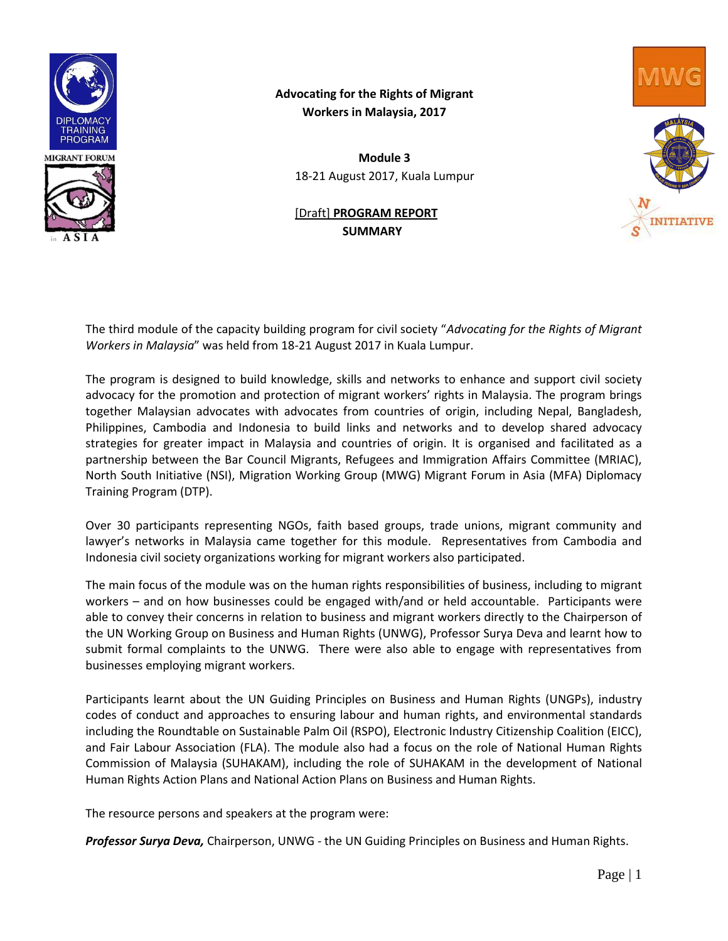

# **Advocating for the Rights of Migrant Workers in Malaysia, 2017**

**Module 3** 18-21 August 2017, Kuala Lumpur

## [Draft] **PROGRAM REPORT SUMMARY**



The third module of the capacity building program for civil society "*Advocating for the Rights of Migrant Workers in Malaysia*" was held from 18-21 August 2017 in Kuala Lumpur.

The program is designed to build knowledge, skills and networks to enhance and support civil society advocacy for the promotion and protection of migrant workers' rights in Malaysia. The program brings together Malaysian advocates with advocates from countries of origin, including Nepal, Bangladesh, Philippines, Cambodia and Indonesia to build links and networks and to develop shared advocacy strategies for greater impact in Malaysia and countries of origin. It is organised and facilitated as a partnership between the Bar Council Migrants, Refugees and Immigration Affairs Committee (MRIAC), North South Initiative (NSI), Migration Working Group (MWG) Migrant Forum in Asia (MFA) Diplomacy Training Program (DTP).

Over 30 participants representing NGOs, faith based groups, trade unions, migrant community and lawyer's networks in Malaysia came together for this module. Representatives from Cambodia and Indonesia civil society organizations working for migrant workers also participated.

The main focus of the module was on the human rights responsibilities of business, including to migrant workers – and on how businesses could be engaged with/and or held accountable. Participants were able to convey their concerns in relation to business and migrant workers directly to the Chairperson of the UN Working Group on Business and Human Rights (UNWG), Professor Surya Deva and learnt how to submit formal complaints to the UNWG. There were also able to engage with representatives from businesses employing migrant workers.

Participants learnt about the UN Guiding Principles on Business and Human Rights (UNGPs), industry codes of conduct and approaches to ensuring labour and human rights, and environmental standards including the Roundtable on Sustainable Palm Oil (RSPO), Electronic Industry Citizenship Coalition (EICC), and Fair Labour Association (FLA). The module also had a focus on the role of National Human Rights Commission of Malaysia (SUHAKAM), including the role of SUHAKAM in the development of National Human Rights Action Plans and National Action Plans on Business and Human Rights.

The resource persons and speakers at the program were:

*Professor Surya Deva,* Chairperson, UNWG - the UN Guiding Principles on Business and Human Rights.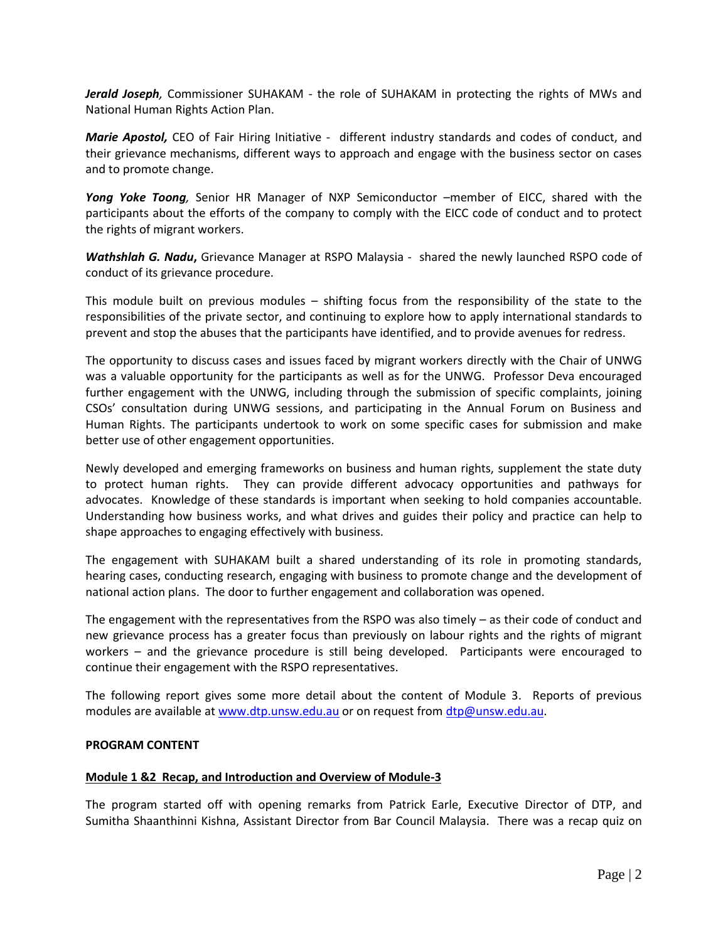*Jerald Joseph,* Commissioner SUHAKAM - the role of SUHAKAM in protecting the rights of MWs and National Human Rights Action Plan.

*Marie Apostol,* CEO of Fair Hiring Initiative - different industry standards and codes of conduct, and their grievance mechanisms, different ways to approach and engage with the business sector on cases and to promote change.

*Yong Yoke Toong,* Senior HR Manager of NXP Semiconductor –member of EICC, shared with the participants about the efforts of the company to comply with the EICC code of conduct and to protect the rights of migrant workers.

*Wathshlah G. Nadu***,** Grievance Manager at RSPO Malaysia - shared the newly launched RSPO code of conduct of its grievance procedure.

This module built on previous modules – shifting focus from the responsibility of the state to the responsibilities of the private sector, and continuing to explore how to apply international standards to prevent and stop the abuses that the participants have identified, and to provide avenues for redress.

The opportunity to discuss cases and issues faced by migrant workers directly with the Chair of UNWG was a valuable opportunity for the participants as well as for the UNWG. Professor Deva encouraged further engagement with the UNWG, including through the submission of specific complaints, joining CSOs' consultation during UNWG sessions, and participating in the Annual Forum on Business and Human Rights. The participants undertook to work on some specific cases for submission and make better use of other engagement opportunities.

Newly developed and emerging frameworks on business and human rights, supplement the state duty to protect human rights. They can provide different advocacy opportunities and pathways for advocates. Knowledge of these standards is important when seeking to hold companies accountable. Understanding how business works, and what drives and guides their policy and practice can help to shape approaches to engaging effectively with business.

The engagement with SUHAKAM built a shared understanding of its role in promoting standards, hearing cases, conducting research, engaging with business to promote change and the development of national action plans. The door to further engagement and collaboration was opened.

The engagement with the representatives from the RSPO was also timely – as their code of conduct and new grievance process has a greater focus than previously on labour rights and the rights of migrant workers – and the grievance procedure is still being developed. Participants were encouraged to continue their engagement with the RSPO representatives.

The following report gives some more detail about the content of Module 3. Reports of previous modules are available a[t www.dtp.unsw.edu.au](http://www.dtp.unsw.edu.au/) or on request from [dtp@unsw.edu.au.](mailto:dtp@unsw.edu.au)

## **PROGRAM CONTENT**

### **Module 1 &2 Recap, and Introduction and Overview of Module-3**

The program started off with opening remarks from Patrick Earle, Executive Director of DTP, and Sumitha Shaanthinni Kishna, Assistant Director from Bar Council Malaysia. There was a recap quiz on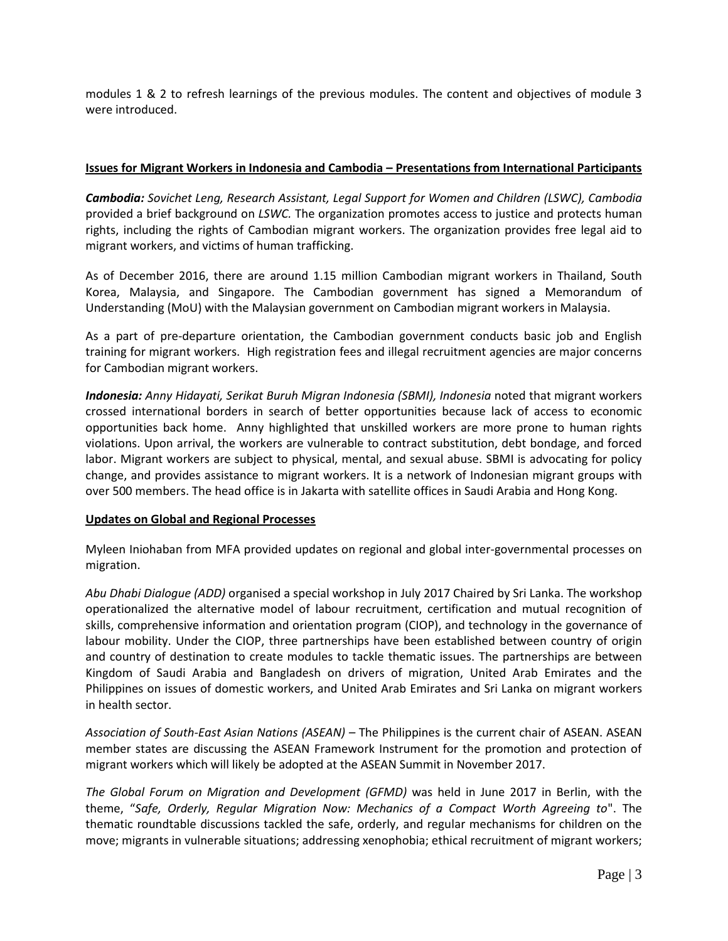modules 1 & 2 to refresh learnings of the previous modules. The content and objectives of module 3 were introduced.

## **Issues for Migrant Workers in Indonesia and Cambodia – Presentations from International Participants**

*Cambodia: Sovichet Leng, Research Assistant, Legal Support for Women and Children (LSWC), Cambodia* provided a brief background on *LSWC.* The organization promotes access to justice and protects human rights, including the rights of Cambodian migrant workers. The organization provides free legal aid to migrant workers, and victims of human trafficking.

As of December 2016, there are around 1.15 million Cambodian migrant workers in Thailand, South Korea, Malaysia, and Singapore. The Cambodian government has signed a Memorandum of Understanding (MoU) with the Malaysian government on Cambodian migrant workers in Malaysia.

As a part of pre-departure orientation, the Cambodian government conducts basic job and English training for migrant workers. High registration fees and illegal recruitment agencies are major concerns for Cambodian migrant workers.

*Indonesia: Anny Hidayati, Serikat Buruh Migran Indonesia (SBMI), Indonesia* noted that migrant workers crossed international borders in search of better opportunities because lack of access to economic opportunities back home.Anny highlighted that unskilled workers are more prone to human rights violations. Upon arrival, the workers are vulnerable to contract substitution, debt bondage, and forced labor. Migrant workers are subject to physical, mental, and sexual abuse. SBMI is advocating for policy change, and provides assistance to migrant workers. It is a network of Indonesian migrant groups with over 500 members. The head office is in Jakarta with satellite offices in Saudi Arabia and Hong Kong.

## **Updates on Global and Regional Processes**

Myleen Iniohaban from MFA provided updates on regional and global inter-governmental processes on migration.

*Abu Dhabi Dialogue (ADD)* organised a special workshop in July 2017 Chaired by Sri Lanka. The workshop operationalized the alternative model of labour recruitment, certification and mutual recognition of skills, comprehensive information and orientation program (CIOP), and technology in the governance of labour mobility. Under the CIOP, three partnerships have been established between country of origin and country of destination to create modules to tackle thematic issues. The partnerships are between Kingdom of Saudi Arabia and Bangladesh on drivers of migration, United Arab Emirates and the Philippines on issues of domestic workers, and United Arab Emirates and Sri Lanka on migrant workers in health sector.

*Association of South-East Asian Nations (ASEAN) –* The Philippines is the current chair of ASEAN. ASEAN member states are discussing the ASEAN Framework Instrument for the promotion and protection of migrant workers which will likely be adopted at the ASEAN Summit in November 2017.

*The Global Forum on Migration and Development (GFMD)* was held in June 2017 in Berlin, with the theme, "*Safe, Orderly, Regular Migration Now: Mechanics of a Compact Worth Agreeing to*". The thematic roundtable discussions tackled the safe, orderly, and regular mechanisms for children on the move; migrants in vulnerable situations; addressing xenophobia; ethical recruitment of migrant workers;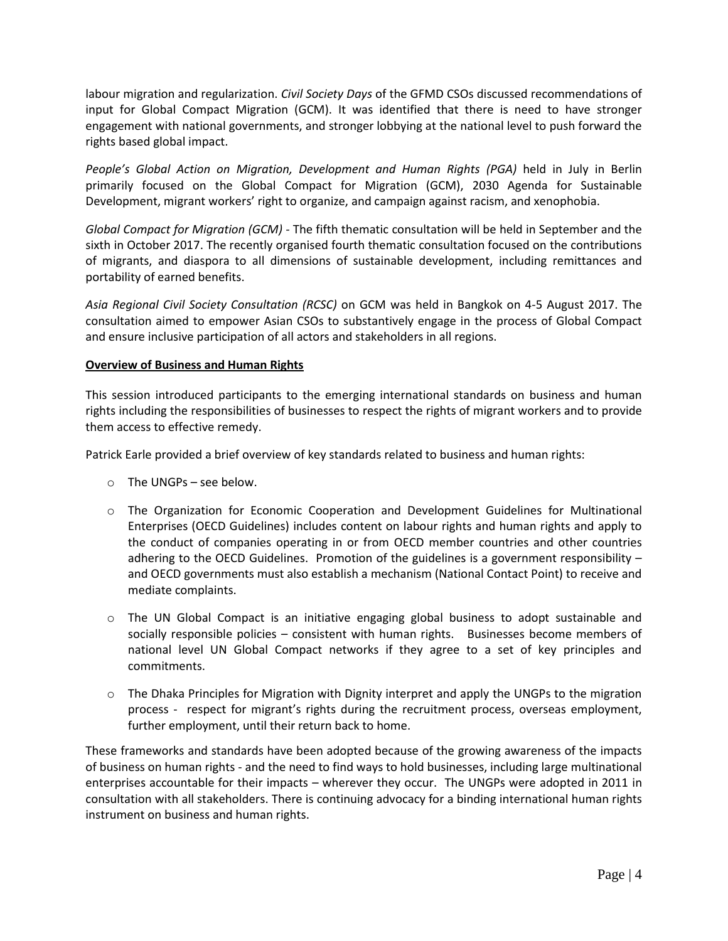labour migration and regularization. *Civil Society Days* of the GFMD CSOs discussed recommendations of input for Global Compact Migration (GCM). It was identified that there is need to have stronger engagement with national governments, and stronger lobbying at the national level to push forward the rights based global impact.

*People's Global Action on Migration, Development and Human Rights (PGA)* held in July in Berlin primarily focused on the Global Compact for Migration (GCM), 2030 Agenda for Sustainable Development, migrant workers' right to organize, and campaign against racism, and xenophobia.

*Global Compact for Migration (GCM) -* The fifth thematic consultation will be held in September and the sixth in October 2017. The recently organised fourth thematic consultation focused on the contributions of migrants, and diaspora to all dimensions of sustainable development, including remittances and portability of earned benefits.

*Asia Regional Civil Society Consultation (RCSC)* on GCM was held in Bangkok on 4-5 August 2017. The consultation aimed to empower Asian CSOs to substantively engage in the process of Global Compact and ensure inclusive participation of all actors and stakeholders in all regions.

## **Overview of Business and Human Rights**

This session introduced participants to the emerging international standards on business and human rights including the responsibilities of businesses to respect the rights of migrant workers and to provide them access to effective remedy.

Patrick Earle provided a brief overview of key standards related to business and human rights:

- o The UNGPs see below.
- o The Organization for Economic Cooperation and Development Guidelines for Multinational Enterprises (OECD Guidelines) includes content on labour rights and human rights and apply to the conduct of companies operating in or from OECD member countries and other countries adhering to the OECD Guidelines. Promotion of the guidelines is a government responsibility – and OECD governments must also establish a mechanism (National Contact Point) to receive and mediate complaints.
- o The UN Global Compact is an initiative engaging global business to adopt sustainable and socially responsible policies – consistent with human rights. Businesses become members of national level UN Global Compact networks if they agree to a set of key principles and commitments.
- o The Dhaka Principles for Migration with Dignity interpret and apply the UNGPs to the migration process - respect for migrant's rights during the recruitment process, overseas employment, further employment, until their return back to home.

These frameworks and standards have been adopted because of the growing awareness of the impacts of business on human rights - and the need to find ways to hold businesses, including large multinational enterprises accountable for their impacts – wherever they occur. The UNGPs were adopted in 2011 in consultation with all stakeholders. There is continuing advocacy for a binding international human rights instrument on business and human rights.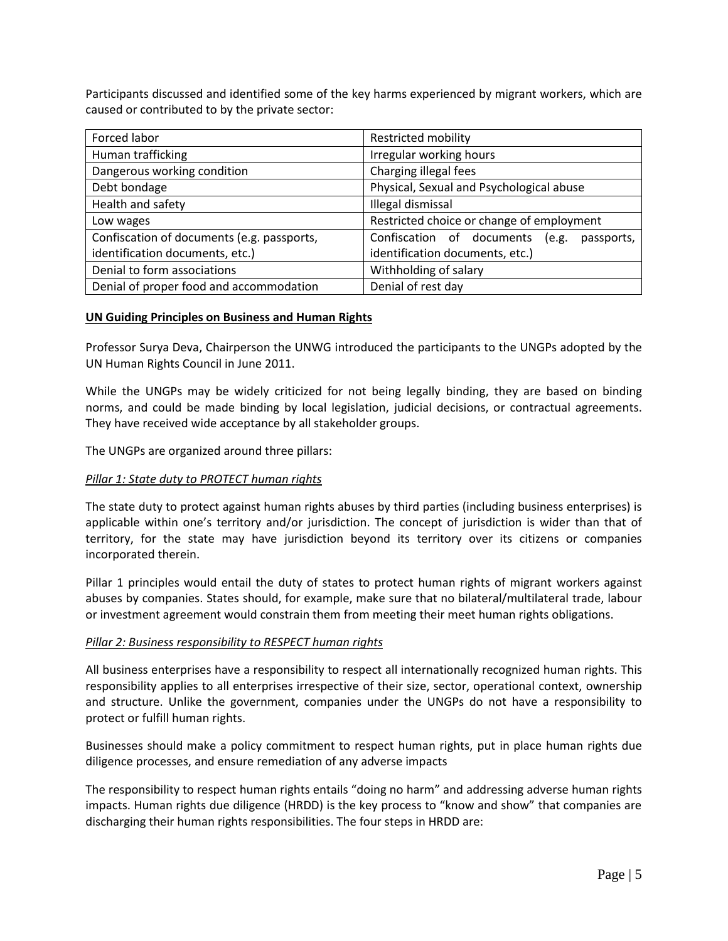Participants discussed and identified some of the key harms experienced by migrant workers, which are caused or contributed to by the private sector:

| Forced labor                               | <b>Restricted mobility</b>                       |
|--------------------------------------------|--------------------------------------------------|
| Human trafficking                          | Irregular working hours                          |
| Dangerous working condition                | Charging illegal fees                            |
| Debt bondage                               | Physical, Sexual and Psychological abuse         |
| Health and safety                          | Illegal dismissal                                |
| Low wages                                  | Restricted choice or change of employment        |
| Confiscation of documents (e.g. passports, | Confiscation of documents<br>(e.g.<br>passports, |
| identification documents, etc.)            | identification documents, etc.)                  |
| Denial to form associations                | Withholding of salary                            |
| Denial of proper food and accommodation    | Denial of rest day                               |

### **UN Guiding Principles on Business and Human Rights**

Professor Surya Deva, Chairperson the UNWG introduced the participants to the UNGPs adopted by the UN Human Rights Council in June 2011.

While the UNGPs may be widely criticized for not being legally binding, they are based on binding norms, and could be made binding by local legislation, judicial decisions, or contractual agreements. They have received wide acceptance by all stakeholder groups.

The UNGPs are organized around three pillars:

### *Pillar 1: State duty to PROTECT human rights*

The state duty to protect against human rights abuses by third parties (including business enterprises) is applicable within one's territory and/or jurisdiction. The concept of jurisdiction is wider than that of territory, for the state may have jurisdiction beyond its territory over its citizens or companies incorporated therein.

Pillar 1 principles would entail the duty of states to protect human rights of migrant workers against abuses by companies. States should, for example, make sure that no bilateral/multilateral trade, labour or investment agreement would constrain them from meeting their meet human rights obligations.

### *Pillar 2: Business responsibility to RESPECT human rights*

All business enterprises have a responsibility to respect all internationally recognized human rights. This responsibility applies to all enterprises irrespective of their size, sector, operational context, ownership and structure. Unlike the government, companies under the UNGPs do not have a responsibility to protect or fulfill human rights.

Businesses should make a policy commitment to respect human rights, put in place human rights due diligence processes, and ensure remediation of any adverse impacts

The responsibility to respect human rights entails "doing no harm" and addressing adverse human rights impacts. Human rights due diligence (HRDD) is the key process to "know and show" that companies are discharging their human rights responsibilities. The four steps in HRDD are: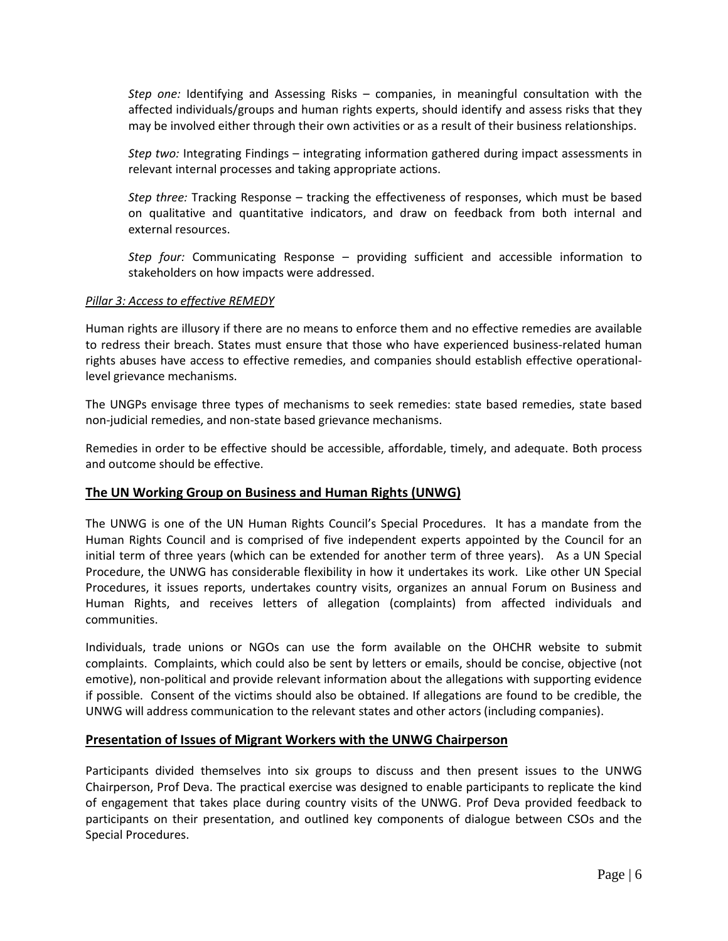*Step one:* Identifying and Assessing Risks – companies, in meaningful consultation with the affected individuals/groups and human rights experts, should identify and assess risks that they may be involved either through their own activities or as a result of their business relationships.

*Step two:* Integrating Findings – integrating information gathered during impact assessments in relevant internal processes and taking appropriate actions.

*Step three:* Tracking Response – tracking the effectiveness of responses, which must be based on qualitative and quantitative indicators, and draw on feedback from both internal and external resources.

*Step four:* Communicating Response – providing sufficient and accessible information to stakeholders on how impacts were addressed.

### *Pillar 3: Access to effective REMEDY*

Human rights are illusory if there are no means to enforce them and no effective remedies are available to redress their breach. States must ensure that those who have experienced business-related human rights abuses have access to effective remedies, and companies should establish effective operationallevel grievance mechanisms.

The UNGPs envisage three types of mechanisms to seek remedies: state based remedies, state based non-judicial remedies, and non-state based grievance mechanisms.

Remedies in order to be effective should be accessible, affordable, timely, and adequate. Both process and outcome should be effective.

## **The UN Working Group on Business and Human Rights (UNWG)**

The UNWG is one of the UN Human Rights Council's Special Procedures. It has a mandate from the Human Rights Council and is comprised of five independent experts appointed by the Council for an initial term of three years (which can be extended for another term of three years). As a UN Special Procedure, the UNWG has considerable flexibility in how it undertakes its work. Like other UN Special Procedures, it issues reports, undertakes country visits, organizes an annual Forum on Business and Human Rights, and receives letters of allegation (complaints) from affected individuals and communities.

Individuals, trade unions or NGOs can use the form available on the OHCHR website to submit complaints. Complaints, which could also be sent by letters or emails, should be concise, objective (not emotive), non-political and provide relevant information about the allegations with supporting evidence if possible. Consent of the victims should also be obtained. If allegations are found to be credible, the UNWG will address communication to the relevant states and other actors (including companies).

## **Presentation of Issues of Migrant Workers with the UNWG Chairperson**

Participants divided themselves into six groups to discuss and then present issues to the UNWG Chairperson, Prof Deva. The practical exercise was designed to enable participants to replicate the kind of engagement that takes place during country visits of the UNWG. Prof Deva provided feedback to participants on their presentation, and outlined key components of dialogue between CSOs and the Special Procedures.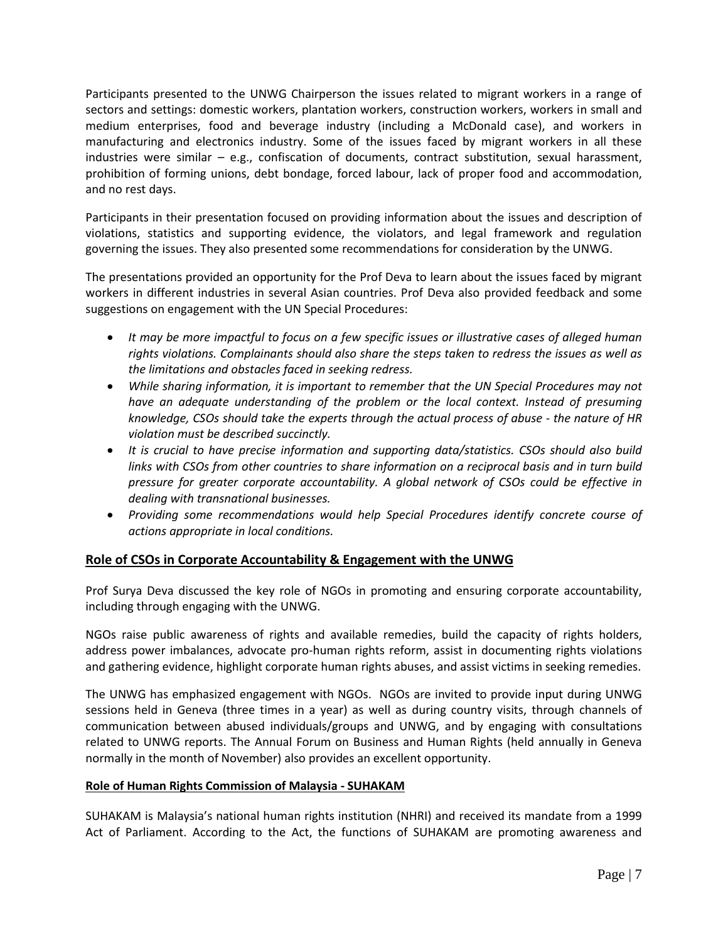Participants presented to the UNWG Chairperson the issues related to migrant workers in a range of sectors and settings: domestic workers, plantation workers, construction workers, workers in small and medium enterprises, food and beverage industry (including a McDonald case), and workers in manufacturing and electronics industry. Some of the issues faced by migrant workers in all these industries were similar  $-$  e.g., confiscation of documents, contract substitution, sexual harassment, prohibition of forming unions, debt bondage, forced labour, lack of proper food and accommodation, and no rest days.

Participants in their presentation focused on providing information about the issues and description of violations, statistics and supporting evidence, the violators, and legal framework and regulation governing the issues. They also presented some recommendations for consideration by the UNWG.

The presentations provided an opportunity for the Prof Deva to learn about the issues faced by migrant workers in different industries in several Asian countries. Prof Deva also provided feedback and some suggestions on engagement with the UN Special Procedures:

- *It may be more impactful to focus on a few specific issues or illustrative cases of alleged human rights violations. Complainants should also share the steps taken to redress the issues as well as the limitations and obstacles faced in seeking redress.*
- *While sharing information, it is important to remember that the UN Special Procedures may not have an adequate understanding of the problem or the local context. Instead of presuming knowledge, CSOs should take the experts through the actual process of abuse - the nature of HR violation must be described succinctly.*
- *It is crucial to have precise information and supporting data/statistics. CSOs should also build links with CSOs from other countries to share information on a reciprocal basis and in turn build pressure for greater corporate accountability. A global network of CSOs could be effective in dealing with transnational businesses.*
- *Providing some recommendations would help Special Procedures identify concrete course of actions appropriate in local conditions.*

## **Role of CSOs in Corporate Accountability & Engagement with the UNWG**

Prof Surya Deva discussed the key role of NGOs in promoting and ensuring corporate accountability, including through engaging with the UNWG.

NGOs raise public awareness of rights and available remedies, build the capacity of rights holders, address power imbalances, advocate pro-human rights reform, assist in documenting rights violations and gathering evidence, highlight corporate human rights abuses, and assist victims in seeking remedies.

The UNWG has emphasized engagement with NGOs. NGOs are invited to provide input during UNWG sessions held in Geneva (three times in a year) as well as during country visits, through channels of communication between abused individuals/groups and UNWG, and by engaging with consultations related to UNWG reports. The Annual Forum on Business and Human Rights (held annually in Geneva normally in the month of November) also provides an excellent opportunity.

## **Role of Human Rights Commission of Malaysia - SUHAKAM**

SUHAKAM is Malaysia's national human rights institution (NHRI) and received its mandate from a 1999 Act of Parliament. According to the Act, the functions of SUHAKAM are promoting awareness and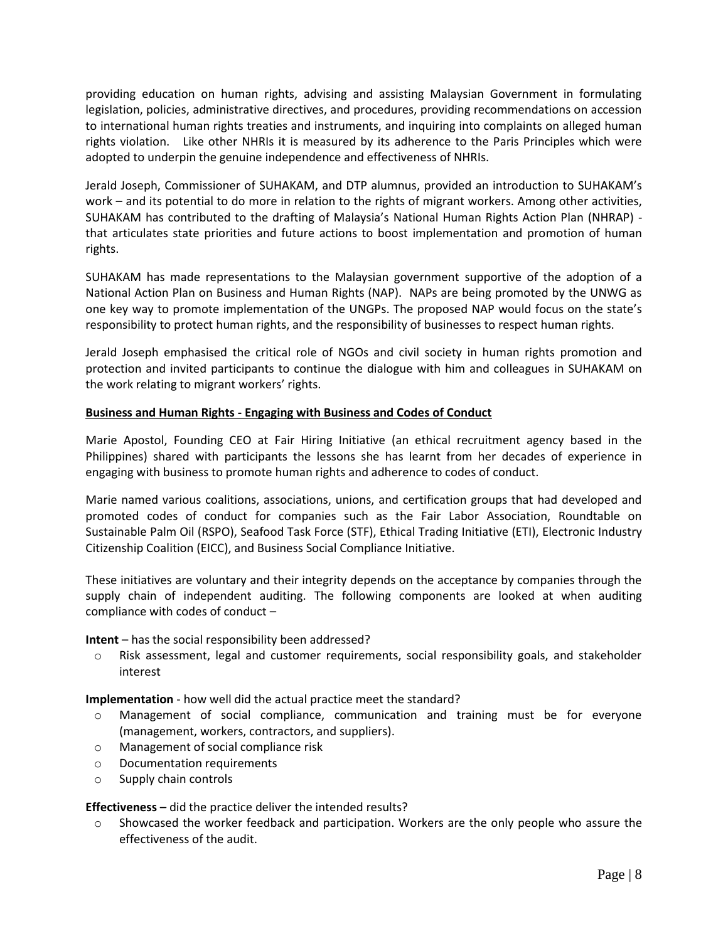providing education on human rights, advising and assisting Malaysian Government in formulating legislation, policies, administrative directives, and procedures, providing recommendations on accession to international human rights treaties and instruments, and inquiring into complaints on alleged human rights violation. Like other NHRIs it is measured by its adherence to the Paris Principles which were adopted to underpin the genuine independence and effectiveness of NHRIs.

Jerald Joseph, Commissioner of SUHAKAM, and DTP alumnus, provided an introduction to SUHAKAM's work – and its potential to do more in relation to the rights of migrant workers. Among other activities, SUHAKAM has contributed to the drafting of Malaysia's National Human Rights Action Plan (NHRAP) that articulates state priorities and future actions to boost implementation and promotion of human rights.

SUHAKAM has made representations to the Malaysian government supportive of the adoption of a National Action Plan on Business and Human Rights (NAP). NAPs are being promoted by the UNWG as one key way to promote implementation of the UNGPs. The proposed NAP would focus on the state's responsibility to protect human rights, and the responsibility of businesses to respect human rights.

Jerald Joseph emphasised the critical role of NGOs and civil society in human rights promotion and protection and invited participants to continue the dialogue with him and colleagues in SUHAKAM on the work relating to migrant workers' rights.

## **Business and Human Rights - Engaging with Business and Codes of Conduct**

Marie Apostol, Founding CEO at Fair Hiring Initiative (an ethical recruitment agency based in the Philippines) shared with participants the lessons she has learnt from her decades of experience in engaging with business to promote human rights and adherence to codes of conduct.

Marie named various coalitions, associations, unions, and certification groups that had developed and promoted codes of conduct for companies such as the Fair Labor Association, Roundtable on Sustainable Palm Oil (RSPO), Seafood Task Force (STF), Ethical Trading Initiative (ETI), Electronic Industry Citizenship Coalition (EICC), and Business Social Compliance Initiative.

These initiatives are voluntary and their integrity depends on the acceptance by companies through the supply chain of independent auditing. The following components are looked at when auditing compliance with codes of conduct –

## **Intent** – has the social responsibility been addressed?

o Risk assessment, legal and customer requirements, social responsibility goals, and stakeholder interest

**Implementation** - how well did the actual practice meet the standard?

- o Management of social compliance, communication and training must be for everyone (management, workers, contractors, and suppliers).
- o Management of social compliance risk
- o Documentation requirements
- o Supply chain controls

## **Effectiveness –** did the practice deliver the intended results?

 $\circ$  Showcased the worker feedback and participation. Workers are the only people who assure the effectiveness of the audit.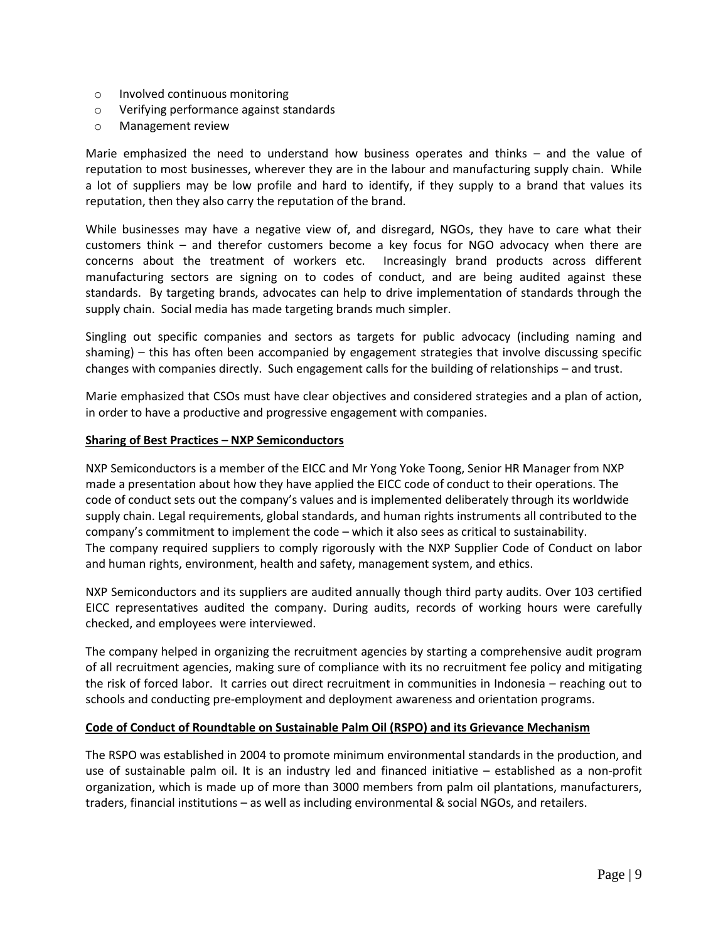- o Involved continuous monitoring
- o Verifying performance against standards
- o Management review

Marie emphasized the need to understand how business operates and thinks – and the value of reputation to most businesses, wherever they are in the labour and manufacturing supply chain. While a lot of suppliers may be low profile and hard to identify, if they supply to a brand that values its reputation, then they also carry the reputation of the brand.

While businesses may have a negative view of, and disregard, NGOs, they have to care what their customers think – and therefor customers become a key focus for NGO advocacy when there are concerns about the treatment of workers etc. Increasingly brand products across different manufacturing sectors are signing on to codes of conduct, and are being audited against these standards. By targeting brands, advocates can help to drive implementation of standards through the supply chain. Social media has made targeting brands much simpler.

Singling out specific companies and sectors as targets for public advocacy (including naming and shaming) – this has often been accompanied by engagement strategies that involve discussing specific changes with companies directly. Such engagement calls for the building of relationships – and trust.

Marie emphasized that CSOs must have clear objectives and considered strategies and a plan of action, in order to have a productive and progressive engagement with companies.

### **Sharing of Best Practices – NXP Semiconductors**

NXP Semiconductors is a member of the EICC and Mr Yong Yoke Toong, Senior HR Manager from NXP made a presentation about how they have applied the EICC code of conduct to their operations. The code of conduct sets out the company's values and is implemented deliberately through its worldwide supply chain. Legal requirements, global standards, and human rights instruments all contributed to the company's commitment to implement the code – which it also sees as critical to sustainability. The company required suppliers to comply rigorously with the NXP Supplier Code of Conduct on labor and human rights, environment, health and safety, management system, and ethics.

NXP Semiconductors and its suppliers are audited annually though third party audits. Over 103 certified EICC representatives audited the company. During audits, records of working hours were carefully checked, and employees were interviewed.

The company helped in organizing the recruitment agencies by starting a comprehensive audit program of all recruitment agencies, making sure of compliance with its no recruitment fee policy and mitigating the risk of forced labor. It carries out direct recruitment in communities in Indonesia – reaching out to schools and conducting pre-employment and deployment awareness and orientation programs.

### **Code of Conduct of Roundtable on Sustainable Palm Oil (RSPO) and its Grievance Mechanism**

The RSPO was established in 2004 to promote minimum environmental standards in the production, and use of sustainable palm oil. It is an industry led and financed initiative – established as a non-profit organization, which is made up of more than 3000 members from palm oil plantations, manufacturers, traders, financial institutions – as well as including environmental & social NGOs, and retailers.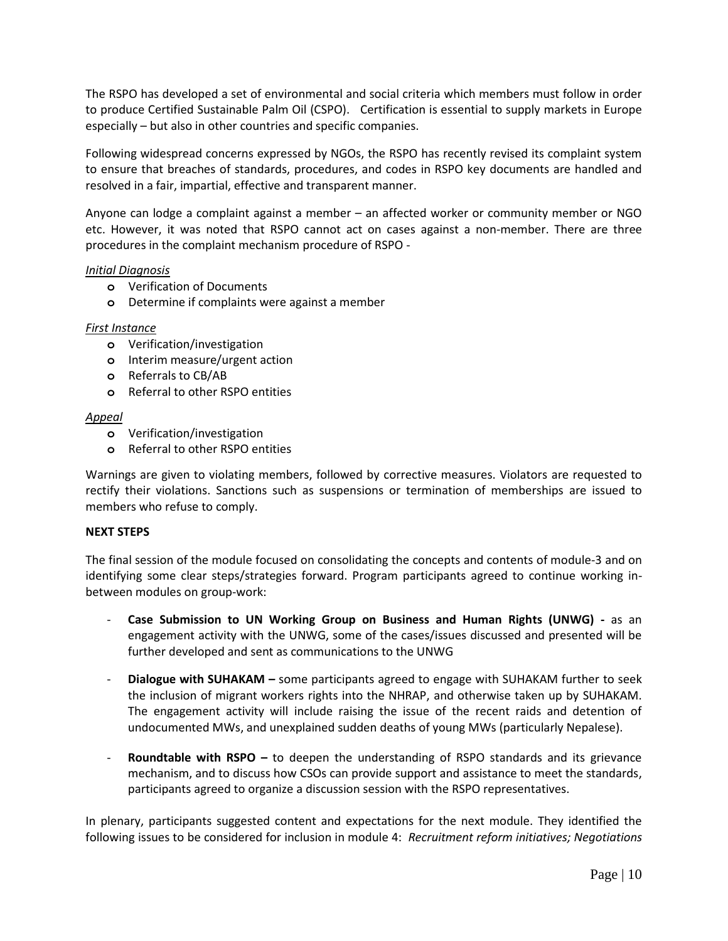The RSPO has developed a set of environmental and social criteria which members must follow in order to produce Certified Sustainable Palm Oil (CSPO). Certification is essential to supply markets in Europe especially – but also in other countries and specific companies.

Following widespread concerns expressed by NGOs, the RSPO has recently revised its complaint system to ensure that breaches of standards, procedures, and codes in RSPO key documents are handled and resolved in a fair, impartial, effective and transparent manner.

Anyone can lodge a complaint against a member – an affected worker or community member or NGO etc. However, it was noted that RSPO cannot act on cases against a non-member. There are three procedures in the complaint mechanism procedure of RSPO -

### *Initial Diagnosis*

- **o** Verification of Documents
- **o** Determine if complaints were against a member

### *First Instance*

- **o** Verification/investigation
- **o** Interim measure/urgent action
- **o** Referrals to CB/AB
- **o** Referral to other RSPO entities

### *Appeal*

- **o** Verification/investigation
- **o** Referral to other RSPO entities

Warnings are given to violating members, followed by corrective measures. Violators are requested to rectify their violations. Sanctions such as suspensions or termination of memberships are issued to members who refuse to comply.

## **NEXT STEPS**

The final session of the module focused on consolidating the concepts and contents of module-3 and on identifying some clear steps/strategies forward. Program participants agreed to continue working inbetween modules on group-work:

- **Case Submission to UN Working Group on Business and Human Rights (UNWG) -** as an engagement activity with the UNWG, some of the cases/issues discussed and presented will be further developed and sent as communications to the UNWG
- **Dialogue with SUHAKAM –** some participants agreed to engage with SUHAKAM further to seek the inclusion of migrant workers rights into the NHRAP, and otherwise taken up by SUHAKAM. The engagement activity will include raising the issue of the recent raids and detention of undocumented MWs, and unexplained sudden deaths of young MWs (particularly Nepalese).
- **Roundtable with RSPO** to deepen the understanding of RSPO standards and its grievance mechanism, and to discuss how CSOs can provide support and assistance to meet the standards, participants agreed to organize a discussion session with the RSPO representatives.

In plenary, participants suggested content and expectations for the next module. They identified the following issues to be considered for inclusion in module 4: *Recruitment reform initiatives; Negotiations*